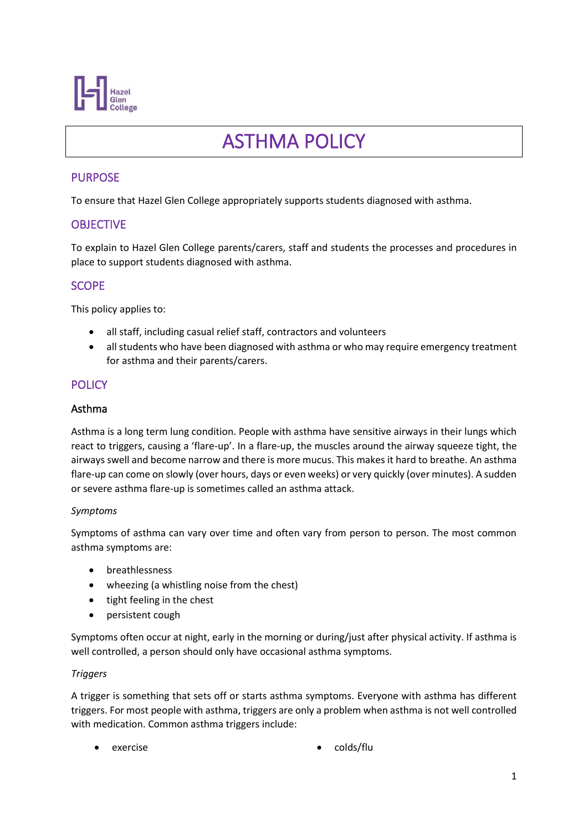

# ASTHMA POLICY

# PURPOSE

To ensure that Hazel Glen College appropriately supports students diagnosed with asthma.

## **OBJECTIVE**

To explain to Hazel Glen College parents/carers, staff and students the processes and procedures in place to support students diagnosed with asthma.

## **SCOPE**

This policy applies to:

- all staff, including casual relief staff, contractors and volunteers
- all students who have been diagnosed with asthma or who may require emergency treatment for asthma and their parents/carers.

# **POLICY**

## Asthma

Asthma is a long term lung condition. People with asthma have sensitive airways in their lungs which react to triggers, causing a 'flare-up'. In a flare-up, the muscles around the airway squeeze tight, the airways swell and become narrow and there is more mucus. This makes it hard to breathe. An asthma flare-up can come on slowly (over hours, days or even weeks) or very quickly (over minutes). A sudden or severe asthma flare-up is sometimes called an asthma attack.

#### *Symptoms*

Symptoms of asthma can vary over time and often vary from person to person. The most common asthma symptoms are:

- breathlessness
- wheezing (a whistling noise from the chest)
- tight feeling in the chest
- persistent cough

Symptoms often occur at night, early in the morning or during/just after physical activity. If asthma is well controlled, a person should only have occasional asthma symptoms.

#### *Triggers*

A trigger is something that sets off or starts asthma symptoms. Everyone with asthma has different triggers. For most people with asthma, triggers are only a problem when asthma is not well controlled with medication. Common asthma triggers include:

- - exercise colds/flu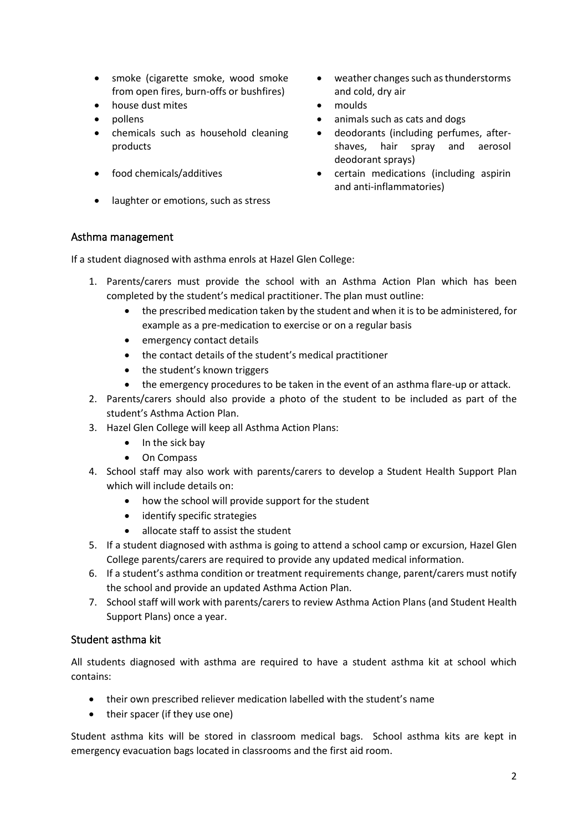- smoke (cigarette smoke, wood smoke from open fires, burn-offs or bushfires)
- house dust mites moulds
- 
- chemicals such as household cleaning products
- 
- laughter or emotions, such as stress
- weather changes such as thunderstorms and cold, dry air
- 
- pollens animals such as cats and dogs
	- deodorants (including perfumes, aftershaves, hair spray and aerosol deodorant sprays)
- food chemicals/additives certain medications (including aspirin and anti-inflammatories)

## Asthma management

If a student diagnosed with asthma enrols at Hazel Glen College:

- 1. Parents/carers must provide the school with an Asthma Action Plan which has been completed by the student's medical practitioner. The plan must outline:
	- the prescribed medication taken by the student and when it is to be administered, for example as a pre-medication to exercise or on a regular basis
	- emergency contact details
	- the contact details of the student's medical practitioner
	- the student's known triggers
	- the emergency procedures to be taken in the event of an asthma flare-up or attack.
- 2. Parents/carers should also provide a photo of the student to be included as part of the student's Asthma Action Plan.
- 3. Hazel Glen College will keep all Asthma Action Plans:
	- In the sick bay
	- On Compass
- 4. School staff may also work with parents/carers to develop a Student Health Support Plan which will include details on:
	- how the school will provide support for the student
	- identify specific strategies
	- allocate staff to assist the student
- 5. If a student diagnosed with asthma is going to attend a school camp or excursion, Hazel Glen College parents/carers are required to provide any updated medical information.
- 6. If a student's asthma condition or treatment requirements change, parent/carers must notify the school and provide an updated Asthma Action Plan.
- 7. School staff will work with parents/carers to review Asthma Action Plans (and Student Health Support Plans) once a year.

## Student asthma kit

All students diagnosed with asthma are required to have a student asthma kit at school which contains:

- their own prescribed reliever medication labelled with the student's name
- their spacer (if they use one)

Student asthma kits will be stored in classroom medical bags. School asthma kits are kept in emergency evacuation bags located in classrooms and the first aid room.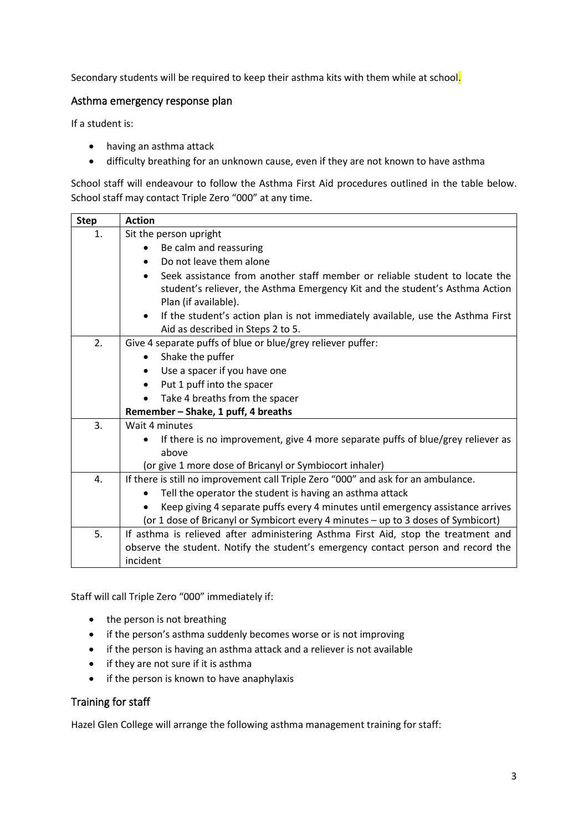Secondary students will be required to keep their asthma kits with them while at school.

## Asthma emergency response plan

If a student is:

- having an asthma attack
- difficulty breathing for an unknown cause, even if they are not known to have asthma

School staff will endeavour to follow the Asthma First Aid procedures outlined in the table below. School staff may contact Triple Zero "000" at any time.

| <b>Step</b> | <b>Action</b>                                                                                        |  |  |  |  |
|-------------|------------------------------------------------------------------------------------------------------|--|--|--|--|
| 1.          | Sit the person upright                                                                               |  |  |  |  |
|             | Be calm and reassuring                                                                               |  |  |  |  |
|             | Do not leave them alone<br>$\bullet$                                                                 |  |  |  |  |
|             | Seek assistance from another staff member or reliable student to locate the                          |  |  |  |  |
|             | student's reliever, the Asthma Emergency Kit and the student's Asthma Action<br>Plan (if available). |  |  |  |  |
|             | If the student's action plan is not immediately available, use the Asthma First<br>$\bullet$         |  |  |  |  |
|             | Aid as described in Steps 2 to 5.                                                                    |  |  |  |  |
| 2.          | Give 4 separate puffs of blue or blue/grey reliever puffer:                                          |  |  |  |  |
|             | Shake the puffer<br>$\bullet$                                                                        |  |  |  |  |
|             | Use a spacer if you have one<br>$\bullet$                                                            |  |  |  |  |
|             | Put 1 puff into the spacer<br>$\bullet$                                                              |  |  |  |  |
|             | Take 4 breaths from the spacer<br>$\bullet$                                                          |  |  |  |  |
|             | Remember - Shake, 1 puff, 4 breaths                                                                  |  |  |  |  |
| 3.          | Wait 4 minutes                                                                                       |  |  |  |  |
|             | If there is no improvement, give 4 more separate puffs of blue/grey reliever as                      |  |  |  |  |
|             | above                                                                                                |  |  |  |  |
|             | (or give 1 more dose of Bricanyl or Symbiocort inhaler)                                              |  |  |  |  |
| 4.          | If there is still no improvement call Triple Zero "000" and ask for an ambulance.                    |  |  |  |  |
|             | Tell the operator the student is having an asthma attack<br>$\bullet$                                |  |  |  |  |
|             | Keep giving 4 separate puffs every 4 minutes until emergency assistance arrives                      |  |  |  |  |
|             | (or 1 dose of Bricanyl or Symbicort every 4 minutes - up to 3 doses of Symbicort)                    |  |  |  |  |
| 5.          | If asthma is relieved after administering Asthma First Aid, stop the treatment and                   |  |  |  |  |
|             | observe the student. Notify the student's emergency contact person and record the                    |  |  |  |  |
|             | incident                                                                                             |  |  |  |  |

Staff will call Triple Zero "000" immediately if:

- the person is not breathing
- if the person's asthma suddenly becomes worse or is not improving
- if the person is having an asthma attack and a reliever is not available
- if they are not sure if it is asthma
- if the person is known to have anaphylaxis

## Training for staff

Hazel Glen College will arrange the following asthma management training for staff: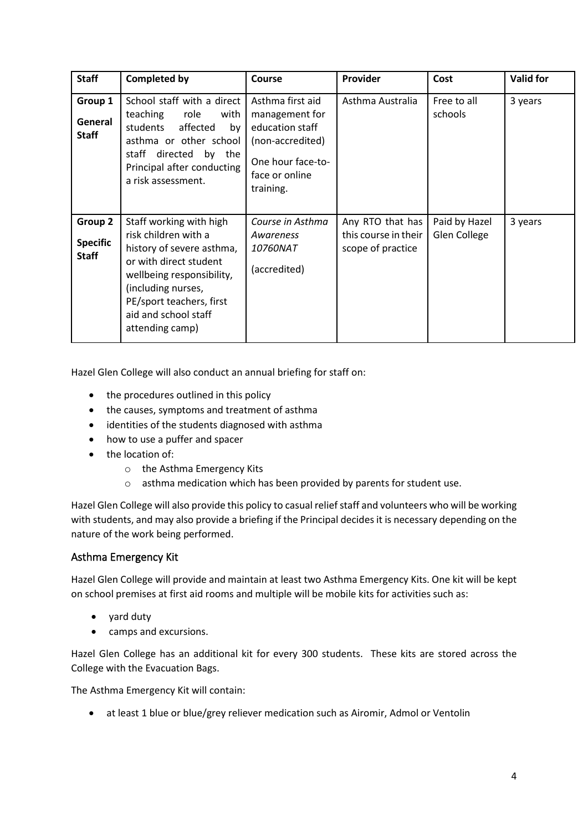| <b>Staff</b>                               | <b>Completed by</b>                                                                                                                                                                                                              | <b>Course</b>                                                                                                                 | Provider                                                      | Cost                          | <b>Valid for</b> |
|--------------------------------------------|----------------------------------------------------------------------------------------------------------------------------------------------------------------------------------------------------------------------------------|-------------------------------------------------------------------------------------------------------------------------------|---------------------------------------------------------------|-------------------------------|------------------|
| Group 1<br>General<br><b>Staff</b>         | School staff with a direct<br>teaching<br>role<br>with<br>affected<br>students<br>by<br>asthma or other school<br>directed by the<br>staff<br>Principal after conducting<br>a risk assessment.                                   | Asthma first aid<br>management for<br>education staff<br>(non-accredited)<br>One hour face-to-<br>face or online<br>training. | Asthma Australia                                              | Free to all<br>schools        | 3 years          |
| Group 2<br><b>Specific</b><br><b>Staff</b> | Staff working with high<br>risk children with a<br>history of severe asthma,<br>or with direct student<br>wellbeing responsibility,<br>(including nurses,<br>PE/sport teachers, first<br>aid and school staff<br>attending camp) | Course in Asthma<br>Awareness<br><i>10760NAT</i><br>(accredited)                                                              | Any RTO that has<br>this course in their<br>scope of practice | Paid by Hazel<br>Glen College | 3 years          |

Hazel Glen College will also conduct an annual briefing for staff on:

- the procedures outlined in this policy
- the causes, symptoms and treatment of asthma
- identities of the students diagnosed with asthma
- how to use a puffer and spacer
- the location of:
	- o the Asthma Emergency Kits
	- o asthma medication which has been provided by parents for student use.

Hazel Glen College will also provide this policy to casual relief staff and volunteers who will be working with students, and may also provide a briefing if the Principal decides it is necessary depending on the nature of the work being performed.

#### Asthma Emergency Kit

Hazel Glen College will provide and maintain at least two Asthma Emergency Kits. One kit will be kept on school premises at first aid rooms and multiple will be mobile kits for activities such as:

- yard duty
- camps and excursions.

Hazel Glen College has an additional kit for every 300 students. These kits are stored across the College with the Evacuation Bags.

The Asthma Emergency Kit will contain:

• at least 1 blue or blue/grey reliever medication such as Airomir, Admol or Ventolin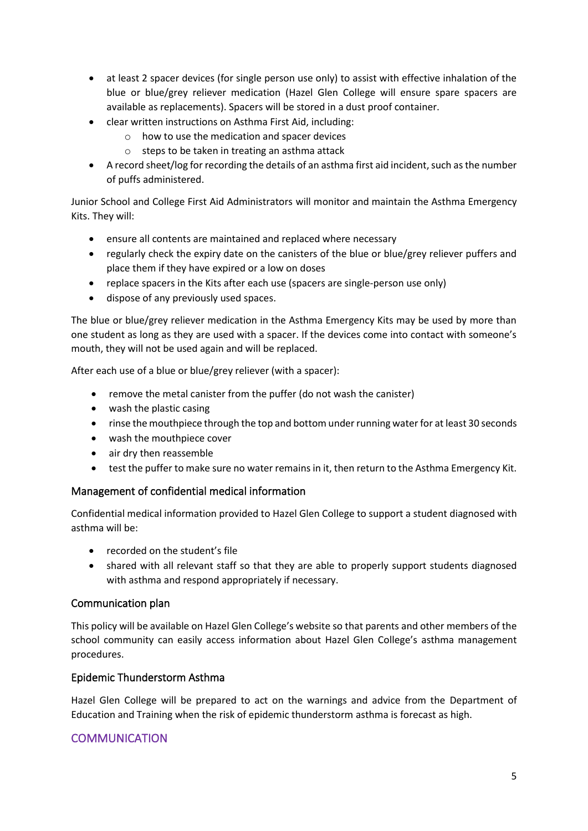- at least 2 spacer devices (for single person use only) to assist with effective inhalation of the blue or blue/grey reliever medication (Hazel Glen College will ensure spare spacers are available as replacements). Spacers will be stored in a dust proof container.
- clear written instructions on Asthma First Aid, including:
	- o how to use the medication and spacer devices
	- o steps to be taken in treating an asthma attack
- A record sheet/log for recording the details of an asthma first aid incident, such as the number of puffs administered.

Junior School and College First Aid Administrators will monitor and maintain the Asthma Emergency Kits. They will:

- ensure all contents are maintained and replaced where necessary
- regularly check the expiry date on the canisters of the blue or blue/grey reliever puffers and place them if they have expired or a low on doses
- replace spacers in the Kits after each use (spacers are single-person use only)
- dispose of any previously used spaces.

The blue or blue/grey reliever medication in the Asthma Emergency Kits may be used by more than one student as long as they are used with a spacer. If the devices come into contact with someone's mouth, they will not be used again and will be replaced.

After each use of a blue or blue/grey reliever (with a spacer):

- remove the metal canister from the puffer (do not wash the canister)
- wash the plastic casing
- rinse the mouthpiece through the top and bottom under running water for at least 30 seconds
- wash the mouthpiece cover
- air dry then reassemble
- test the puffer to make sure no water remains in it, then return to the Asthma Emergency Kit.

## Management of confidential medical information

Confidential medical information provided to Hazel Glen College to support a student diagnosed with asthma will be:

- recorded on the student's file
- shared with all relevant staff so that they are able to properly support students diagnosed with asthma and respond appropriately if necessary.

#### Communication plan

This policy will be available on Hazel Glen College's website so that parents and other members of the school community can easily access information about Hazel Glen College's asthma management procedures.

## Epidemic Thunderstorm Asthma

Hazel Glen College will be prepared to act on the warnings and advice from the Department of Education and Training when the risk of epidemic thunderstorm asthma is forecast as high.

## **COMMUNICATION**